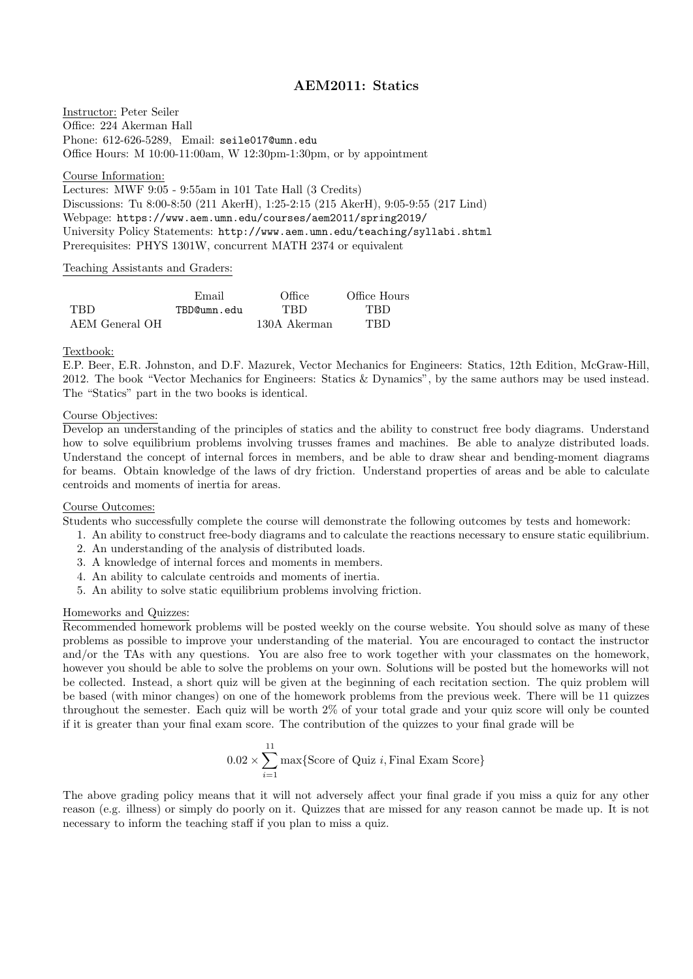# AEM2011: Statics

Instructor: Peter Seiler Office: 224 Akerman Hall Phone: 612-626-5289, Email: seile017@umn.edu Office Hours: M 10:00-11:00am, W 12:30pm-1:30pm, or by appointment

Course Information:

Lectures: MWF 9:05 - 9:55am in 101 Tate Hall (3 Credits) Discussions: Tu 8:00-8:50 (211 AkerH), 1:25-2:15 (215 AkerH), 9:05-9:55 (217 Lind) Webpage: https://www.aem.umn.edu/courses/aem2011/spring2019/ University Policy Statements: http://www.aem.umn.edu/teaching/syllabi.shtml Prerequisites: PHYS 1301W, concurrent MATH 2374 or equivalent

#### Teaching Assistants and Graders:

|                | Email       | Office       | Office Hours |
|----------------|-------------|--------------|--------------|
| TBD.           | TBD@umn.edu | <b>TRD</b>   | <b>TRD</b>   |
| AEM General OH |             | 130A Akerman | <b>TRD</b>   |

#### Textbook:

E.P. Beer, E.R. Johnston, and D.F. Mazurek, Vector Mechanics for Engineers: Statics, 12th Edition, McGraw-Hill, 2012. The book "Vector Mechanics for Engineers: Statics & Dynamics", by the same authors may be used instead. The "Statics" part in the two books is identical.

# Course Objectives:

Develop an understanding of the principles of statics and the ability to construct free body diagrams. Understand how to solve equilibrium problems involving trusses frames and machines. Be able to analyze distributed loads. Understand the concept of internal forces in members, and be able to draw shear and bending-moment diagrams for beams. Obtain knowledge of the laws of dry friction. Understand properties of areas and be able to calculate centroids and moments of inertia for areas.

# Course Outcomes:

Students who successfully complete the course will demonstrate the following outcomes by tests and homework:

- 1. An ability to construct free-body diagrams and to calculate the reactions necessary to ensure static equilibrium.
- 2. An understanding of the analysis of distributed loads.
- 3. A knowledge of internal forces and moments in members.
- 4. An ability to calculate centroids and moments of inertia.
- 5. An ability to solve static equilibrium problems involving friction.

#### Homeworks and Quizzes:

Recommended homework problems will be posted weekly on the course website. You should solve as many of these problems as possible to improve your understanding of the material. You are encouraged to contact the instructor and/or the TAs with any questions. You are also free to work together with your classmates on the homework, however you should be able to solve the problems on your own. Solutions will be posted but the homeworks will not be collected. Instead, a short quiz will be given at the beginning of each recitation section. The quiz problem will be based (with minor changes) on one of the homework problems from the previous week. There will be 11 quizzes throughout the semester. Each quiz will be worth 2% of your total grade and your quiz score will only be counted if it is greater than your final exam score. The contribution of the quizzes to your final grade will be

$$
0.02 \times \sum_{i=1}^{11} \max\{\text{Score of Quiz } i, \text{Final Exam Score}\}\
$$

The above grading policy means that it will not adversely affect your final grade if you miss a quiz for any other reason (e.g. illness) or simply do poorly on it. Quizzes that are missed for any reason cannot be made up. It is not necessary to inform the teaching staff if you plan to miss a quiz.